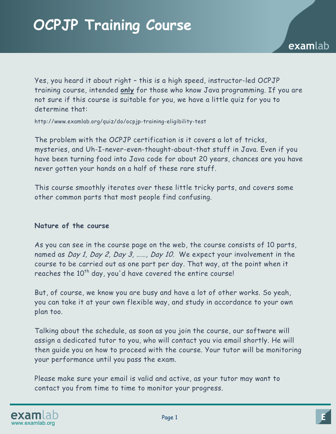Yes, you heard it about right – this is a high speed, instructor-led OCPJP training course, intended **only** for those who know Java programming. If you are not sure if this course is suitable for you, we have a little quiz for you to determine that:

http://www.examlab.org/quiz/do/ocpjp-training-eligibility-test

The problem with the OCPJP certification is it covers a lot of tricks, mysteries, and Uh-I-never-even-thought-about-that stuff in Java. Even if you have been turning food into Java code for about 20 years, chances are you have never gotten your hands on a half of these rare stuff.

This course smoothly iterates over these little tricky parts, and covers some other common parts that most people find confusing.

#### **Nature of the course**

As you can see in the course page on the web, the course consists of 10 parts, named as Day 1, Day 2, Day 3, ......, Day 10. We expect your involvement in the course to be carried out as one part per day. That way, at the point when it reaches the  $10<sup>th</sup>$  day, you'd have covered the entire course!

But, of course, we know you are busy and have a lot of other works. So yeah, you can take it at your own flexible way, and study in accordance to your own plan too.

Talking about the schedule, as soon as you join the course, our software will assign a dedicated tutor to you, who will contact you via email shortly. He will then guide you on how to proceed with the course. Your tutor will be monitoring your performance until you pass the exam.

Please make sure your email is valid and active, as your tutor may want to contact you from time to time to monitor your progress.

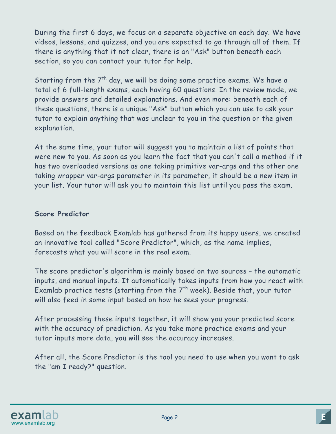During the first 6 days, we focus on a separate objective on each day. We have videos, lessons, and quizzes, and you are expected to go through all of them. If there is anything that it not clear, there is an "Ask" button beneath each section, so you can contact your tutor for help.

Starting from the  $7<sup>th</sup>$  day, we will be doing some practice exams. We have a total of 6 full-length exams, each having 60 questions. In the review mode, we provide answers and detailed explanations. And even more: beneath each of these questions, there is a unique "Ask" button which you can use to ask your tutor to explain anything that was unclear to you in the question or the given explanation.

At the same time, your tutor will suggest you to maintain a list of points that were new to you. As soon as you learn the fact that you can't call a method if it has two overloaded versions as one taking primitive var-args and the other one taking wrapper var-args parameter in its parameter, it should be a new item in your list. Your tutor will ask you to maintain this list until you pass the exam.

# **Score Predictor**

Based on the feedback Examlab has gathered from its happy users, we created an innovative tool called "Score Predictor", which, as the name implies, forecasts what you will score in the real exam.

The score predictor's algorithm is mainly based on two sources – the automatic inputs, and manual inputs. It automatically takes inputs from how you react with Examlab practice tests (starting from the  $7<sup>th</sup>$  week). Beside that, your tutor will also feed in some input based on how he sees your progress.

After processing these inputs together, it will show you your predicted score with the accuracy of prediction. As you take more practice exams and your tutor inputs more data, you will see the accuracy increases.

After all, the Score Predictor is the tool you need to use when you want to ask the "am I ready?" question.